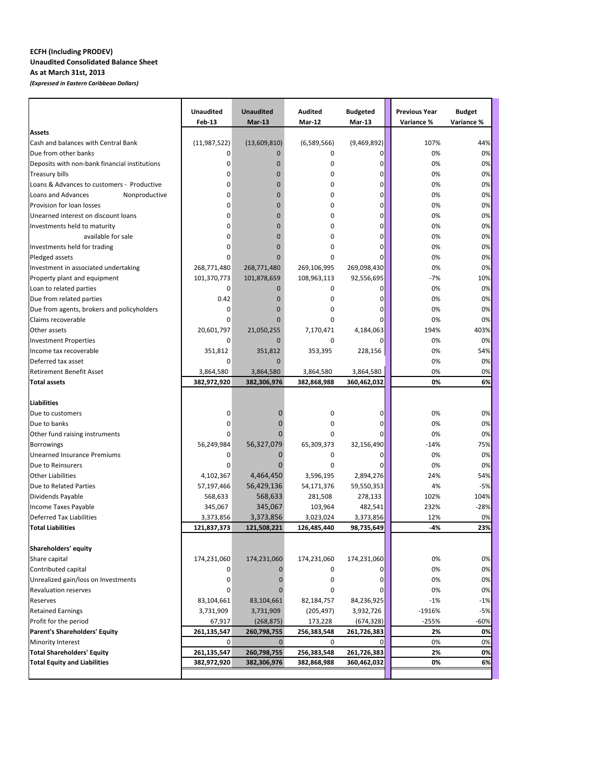## **ECFH (Including PRODEV) Unaudited Consolidated Balance Sheet As at March 31st, 2013**

*(Expressed in Eastern Caribbean Dollars)*

|                                                                  | <b>Unaudited</b> | <b>Unaudited</b>             | Audited        | <b>Budgeted</b>       | <b>Previous Year</b> | <b>Budget</b> |  |
|------------------------------------------------------------------|------------------|------------------------------|----------------|-----------------------|----------------------|---------------|--|
| Assets                                                           | Feb-13           | $Mar-13$                     | Mar-12         | <b>Mar-13</b>         | Variance %           | Variance %    |  |
| Cash and balances with Central Bank                              | (11, 987, 522)   | (13,609,810)                 | (6,589,566)    | (9,469,892)           | 107%                 | 44%           |  |
| Due from other banks                                             | 0                | 0                            | 0              | 0                     | 0%                   | 0%            |  |
| Deposits with non-bank financial institutions                    | 0                | $\overline{0}$               | 0              | 0                     | 0%                   | 0%            |  |
| <b>Treasury bills</b>                                            | 0                | 0                            | 0              | 0                     | 0%                   | 0%            |  |
| Loans & Advances to customers - Productive                       | 0                | 0                            | 0              | 0                     | 0%                   | 0%            |  |
| Loans and Advances<br>Nonproductive                              | 0                | 0                            | 0              | 0                     | 0%                   | 0%            |  |
| Provision for loan losses                                        | 0                | $\mathbf 0$                  | 0              | 0                     | 0%                   | 0%            |  |
| Unearned interest on discount loans                              | 0                | 0                            | 0              | 0                     | 0%                   | 0%            |  |
| Investments held to maturity                                     | 0                | $\mathbf 0$                  | 0              | 0                     | 0%                   | 0%            |  |
| available for sale                                               | 0                | $\Omega$                     | 0              | 0                     | 0%                   | 0%            |  |
| Investments held for trading                                     | 0                | 0                            | 0              | 0                     | 0%                   | 0%            |  |
| Pledged assets                                                   | 0                | $\Omega$                     | 0              | 0                     | 0%                   | 0%            |  |
| Investment in associated undertaking                             | 268,771,480      | 268,771,480                  | 269,106,995    | 269,098,430           | 0%                   | 0%            |  |
| Property plant and equipment                                     | 101,370,773      | 101,878,659                  | 108,963,113    | 92,556,695            | $-7%$                | 10%           |  |
| Loan to related parties                                          | 0                | $\mathbf 0$                  | 0              | 0                     | 0%                   | 0%            |  |
| Due from related parties                                         | 0.42             | $\mathbf 0$                  | 0              | 0                     | 0%                   | 0%            |  |
|                                                                  | 0                | 0                            | 0              | 0                     | 0%                   | 0%            |  |
| Due from agents, brokers and policyholders<br>Claims recoverable | 0                | $\Omega$                     | 0              | 0                     | 0%                   | 0%            |  |
| Other assets                                                     |                  |                              |                |                       |                      |               |  |
|                                                                  | 20,601,797       | 21,050,255<br>$\overline{0}$ | 7,170,471<br>0 | 4,184,063<br>$\Omega$ | 194%                 | 403%          |  |
| <b>Investment Properties</b>                                     | 0                |                              |                |                       | 0%                   | 0%            |  |
| Income tax recoverable                                           | 351,812          | 351,812                      | 353,395        | 228,156               | 0%                   | 54%           |  |
| Deferred tax asset<br><b>Retirement Benefit Asset</b>            | 0                | $\overline{0}$               |                |                       | 0%                   | 0%            |  |
|                                                                  | 3,864,580        | 3,864,580                    | 3,864,580      | 3,864,580             | 0%                   | 0%            |  |
| <b>Total assets</b>                                              | 382,972,920      | 382,306,976                  | 382,868,988    | 360,462,032           | 0%                   | 6%            |  |
| <b>Liabilities</b>                                               |                  |                              |                |                       |                      |               |  |
| Due to customers                                                 | 0                | 0                            | 0              | 0                     | 0%                   | 0%            |  |
| Due to banks                                                     | 0                | 0                            | 0              | 0                     | 0%                   | 0%            |  |
| Other fund raising instruments                                   | 0                |                              | 0              | 0                     | 0%                   | 0%            |  |
| <b>Borrowings</b>                                                | 56,249,984       | 56,327,079                   | 65,309,373     | 32,156,490            | $-14%$               | 75%           |  |
| <b>Unearned Insurance Premiums</b>                               | 0                | 0                            | 0              | 0                     | 0%                   | 0%            |  |
| Due to Reinsurers                                                | 0                | 0                            | 0              | $\Omega$              | 0%                   | 0%            |  |
| <b>Other Liabilities</b>                                         | 4,102,367        | 4,464,450                    | 3,596,195      | 2,894,276             | 24%                  | 54%           |  |
| Due to Related Parties                                           | 57,197,466       | 56,429,136                   | 54,171,376     | 59,550,353            | 4%                   | $-5%$         |  |
| Dividends Payable                                                | 568,633          | 568,633                      | 281,508        | 278,133               | 102%                 | 104%          |  |
| Income Taxes Payable                                             | 345,067          | 345,067                      | 103,964        | 482,541               | 232%                 | $-28%$        |  |
| <b>Deferred Tax Liabilities</b>                                  | 3,373,856        | 3,373,856                    | 3,023,024      | 3,373,856             | 12%                  | 0%            |  |
| <b>Total Liabilities</b>                                         | 121,837,373      | 121,508,221                  | 126,485,440    | 98,735,649            | $-4%$                | 23%           |  |
|                                                                  |                  |                              |                |                       |                      |               |  |
| Shareholders' equity                                             |                  |                              |                |                       |                      |               |  |
| Share capital                                                    | 174,231,060      | 174,231,060                  | 174,231,060    | 174,231,060           | 0%                   | 0%            |  |
| Contributed capital                                              | 0                | 0                            | 0              | 0                     | 0%                   | 0%            |  |
| Unrealized gain/loss on Investments                              | 0                | 0                            | 0              | 0                     | 0%                   | 0%            |  |
| <b>Revaluation reserves</b>                                      | 0                | 0                            | 0              | 0                     | 0%                   | 0%            |  |
| Reserves                                                         | 83,104,661       | 83,104,661                   | 82,184,757     | 84,236,925            | $-1%$                | $-1%$         |  |
| <b>Retained Earnings</b>                                         | 3,731,909        | 3,731,909                    | (205, 497)     | 3,932,726             | $-1916%$             | $-5%$         |  |
| Profit for the period                                            | 67,917           | (268, 875)                   | 173,228        | (674, 328)            | $-255%$              | -60%          |  |
| <b>Parent's Shareholders' Equity</b>                             | 261,135,547      | 260,798,755                  | 256,383,548    | 261,726,383           | 2%                   | 0%            |  |
| Minority Interest                                                | $\overline{0}$   | $\mathbf 0$                  | 0              | 0                     | 0%                   | 0%            |  |
| <b>Total Shareholders' Equity</b>                                | 261,135,547      | 260,798,755                  | 256,383,548    | 261,726,383           | 2%                   | 0%            |  |
| <b>Total Equity and Liabilities</b>                              | 382,972,920      | 382,306,976                  | 382,868,988    | 360,462,032           | 0%                   | 6%            |  |
|                                                                  |                  |                              |                |                       |                      |               |  |